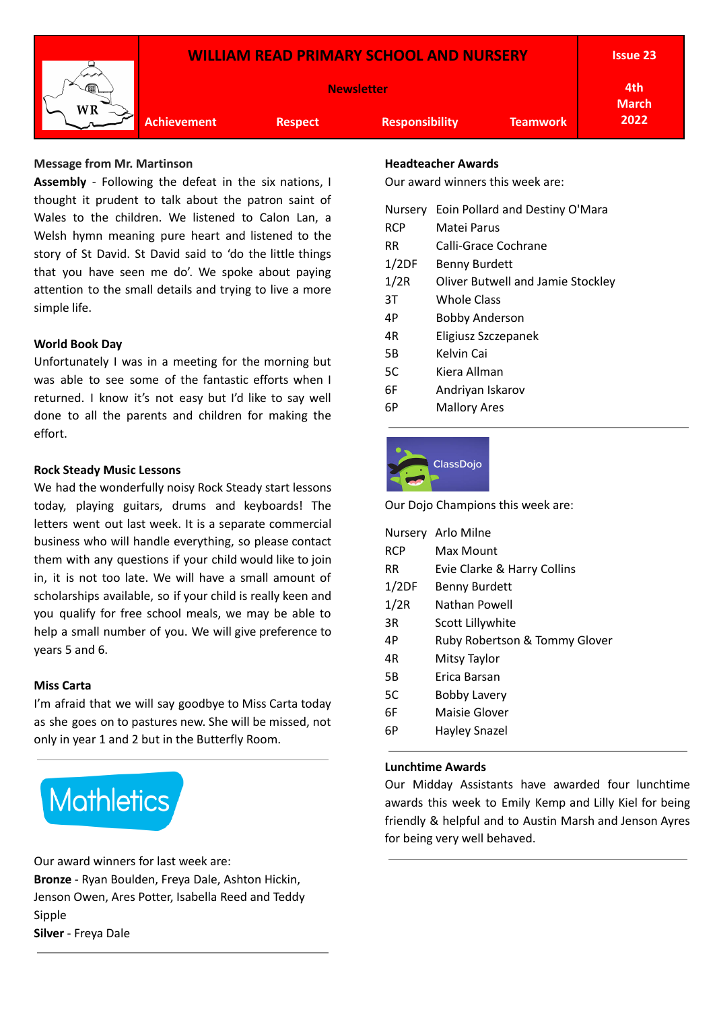

#### **Message from Mr. Martinson**

**Assembly** - Following the defeat in the six nations, I thought it prudent to talk about the patron saint of Wales to the children. We listened to Calon Lan, a Welsh hymn meaning pure heart and listened to the story of St David. St David said to 'do the little things that you have seen me do'. We spoke about paying attention to the small details and trying to live a more simple life.

#### **World Book Day**

Unfortunately I was in a meeting for the morning but was able to see some of the fantastic efforts when I returned. I know it's not easy but I'd like to say well done to all the parents and children for making the effort.

#### **Rock Steady Music Lessons**

We had the wonderfully noisy Rock Steady start lessons today, playing guitars, drums and keyboards! The letters went out last week. It is a separate commercial business who will handle everything, so please contact them with any questions if your child would like to join in, it is not too late. We will have a small amount of scholarships available, so if your child is really keen and you qualify for free school meals, we may be able to help a small number of you. We will give preference to years 5 and 6.

#### **Miss Carta**

I'm afraid that we will say goodbye to Miss Carta today as she goes on to pastures new. She will be missed, not only in year 1 and 2 but in the Butterfly Room.



Our award winners for last week are: **Bronze** - Ryan Boulden, Freya Dale, Ashton Hickin, Jenson Owen, Ares Potter, Isabella Reed and Teddy Sipple **Silver** - Freya Dale

# **Headteacher Awards**

Our award winners this week are:

| <b>Nursery</b> | Eoin Pollard and Destiny O'Mara          |
|----------------|------------------------------------------|
| <b>RCP</b>     | Matei Parus                              |
| RR.            | Calli-Grace Cochrane                     |
| 1/2DF          | <b>Benny Burdett</b>                     |
| 1/2R           | <b>Oliver Butwell and Jamie Stockley</b> |
| ЗT             | Whole Class                              |
| 4P             | <b>Bobby Anderson</b>                    |
| 4R             | Eligiusz Szczepanek                      |
| 5B             | Kelvin Cai                               |
| 5C             | Kiera Allman                             |
| 6F             | Andriyan Iskarov                         |
| 6Р             | <b>Mallory Ares</b>                      |
|                |                                          |



Our Dojo Champions this week are:

|            | Nursery Arlo Milne            |
|------------|-------------------------------|
| <b>RCP</b> | Max Mount                     |
| RR         | Evie Clarke & Harry Collins   |
| 1/2DF      | <b>Benny Burdett</b>          |
| 1/2R       | Nathan Powell                 |
| 3R         | Scott Lillywhite              |
| 4P         | Ruby Robertson & Tommy Glover |
| 4R         | Mitsy Taylor                  |
| 5B         | Frica Barsan                  |
| 5C         | Bobby Lavery                  |
| 6F         | Maisie Glover                 |
| 6Р         | Hayley Snazel                 |
|            |                               |

#### **Lunchtime Awards**

Our Midday Assistants have awarded four lunchtime awards this week to Emily Kemp and Lilly Kiel for being friendly & helpful and to Austin Marsh and Jenson Ayres for being very well behaved.